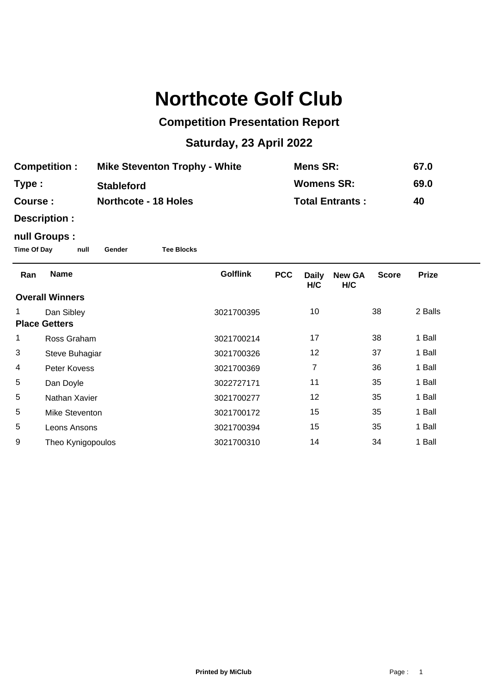# **Northcote Golf Club**

## **Competition Presentation Report**

## **Saturday, 23 April 2022**

| <b>Competition:</b> | <b>Mike Steventon Trophy - White</b> | Mens SR:               | 67.0 |
|---------------------|--------------------------------------|------------------------|------|
| Type :              | <b>Stableford</b>                    | <b>Womens SR:</b>      | 69.0 |
| <b>Course :</b>     | <b>Northcote - 18 Holes</b>          | <b>Total Entrants:</b> | 40   |

**Description :**

### **null Groups :**

**Time Of Day null Gender Tee Blocks**

| Ran                    | <b>Name</b>       | <b>Golflink</b> | <b>PCC</b> | <b>Daily</b><br>H/C | <b>New GA</b><br>H/C | <b>Score</b> | <b>Prize</b> |
|------------------------|-------------------|-----------------|------------|---------------------|----------------------|--------------|--------------|
| <b>Overall Winners</b> |                   |                 |            |                     |                      |              |              |
|                        | Dan Sibley        | 3021700395      |            | 10                  |                      | 38           | 2 Balls      |
| <b>Place Getters</b>   |                   |                 |            |                     |                      |              |              |
| 1                      | Ross Graham       | 3021700214      |            | 17                  |                      | 38           | 1 Ball       |
| 3                      | Steve Buhagiar    | 3021700326      |            | 12                  |                      | 37           | 1 Ball       |
| 4                      | Peter Kovess      | 3021700369      |            | 7                   |                      | 36           | 1 Ball       |
| 5                      | Dan Doyle         | 3022727171      |            | 11                  |                      | 35           | 1 Ball       |
| 5                      | Nathan Xavier     | 3021700277      |            | 12                  |                      | 35           | 1 Ball       |
| 5                      | Mike Steventon    | 3021700172      |            | 15                  |                      | 35           | 1 Ball       |
| 5                      | Leons Ansons      | 3021700394      |            | 15                  |                      | 35           | 1 Ball       |
| 9                      | Theo Kynigopoulos | 3021700310      |            | 14                  |                      | 34           | 1 Ball       |
|                        |                   |                 |            |                     |                      |              |              |